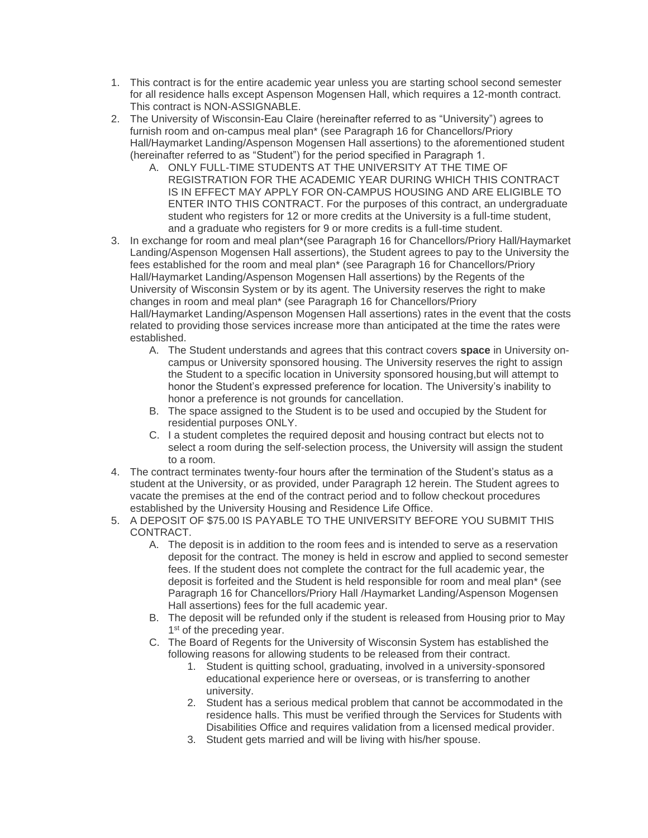- 1. This contract is for the entire academic year unless you are starting school second semester for all residence halls except Aspenson Mogensen Hall, which requires a 12-month contract. This contract is NON-ASSIGNABLE.
- 2. The University of Wisconsin-Eau Claire (hereinafter referred to as "University") agrees to furnish room and on-campus meal plan\* (see Paragraph 16 for Chancellors/Priory Hall/Haymarket Landing/Aspenson Mogensen Hall assertions) to the aforementioned student (hereinafter referred to as "Student") for the period specified in Paragraph 1.
	- A. ONLY FULL-TIME STUDENTS AT THE UNIVERSITY AT THE TIME OF REGISTRATION FOR THE ACADEMIC YEAR DURING WHICH THIS CONTRACT IS IN EFFECT MAY APPLY FOR ON-CAMPUS HOUSING AND ARE ELIGIBLE TO ENTER INTO THIS CONTRACT. For the purposes of this contract, an undergraduate student who registers for 12 or more credits at the University is a full-time student, and a graduate who registers for 9 or more credits is a full-time student.
- 3. In exchange for room and meal plan\*(see Paragraph 16 for Chancellors/Priory Hall/Haymarket Landing/Aspenson Mogensen Hall assertions), the Student agrees to pay to the University the fees established for the room and meal plan\* (see Paragraph 16 for Chancellors/Priory Hall/Haymarket Landing/Aspenson Mogensen Hall assertions) by the Regents of the University of Wisconsin System or by its agent. The University reserves the right to make changes in room and meal plan\* (see Paragraph 16 for Chancellors/Priory Hall/Haymarket Landing/Aspenson Mogensen Hall assertions) rates in the event that the costs related to providing those services increase more than anticipated at the time the rates were established.
	- A. The Student understands and agrees that this contract covers **space** in University oncampus or University sponsored housing. The University reserves the right to assign the Student to a specific location in University sponsored housing,but will attempt to honor the Student's expressed preference for location. The University's inability to honor a preference is not grounds for cancellation.
	- B. The space assigned to the Student is to be used and occupied by the Student for residential purposes ONLY.
	- C. I a student completes the required deposit and housing contract but elects not to select a room during the self-selection process, the University will assign the student to a room.
- 4. The contract terminates twenty-four hours after the termination of the Student's status as a student at the University, or as provided, under Paragraph 12 herein. The Student agrees to vacate the premises at the end of the contract period and to follow checkout procedures established by the University Housing and Residence Life Office.
- 5. A DEPOSIT OF \$75.00 IS PAYABLE TO THE UNIVERSITY BEFORE YOU SUBMIT THIS CONTRACT.
	- A. The deposit is in addition to the room fees and is intended to serve as a reservation deposit for the contract. The money is held in escrow and applied to second semester fees. If the student does not complete the contract for the full academic year, the deposit is forfeited and the Student is held responsible for room and meal plan\* (see Paragraph 16 for Chancellors/Priory Hall /Haymarket Landing/Aspenson Mogensen Hall assertions) fees for the full academic year.
	- B. The deposit will be refunded only if the student is released from Housing prior to May 1<sup>st</sup> of the preceding year.
	- C. The Board of Regents for the University of Wisconsin System has established the following reasons for allowing students to be released from their contract.
		- 1. Student is quitting school, graduating, involved in a university-sponsored educational experience here or overseas, or is transferring to another university.
		- 2. Student has a serious medical problem that cannot be accommodated in the residence halls. This must be verified through the Services for Students with Disabilities Office and requires validation from a licensed medical provider.
		- 3. Student gets married and will be living with his/her spouse.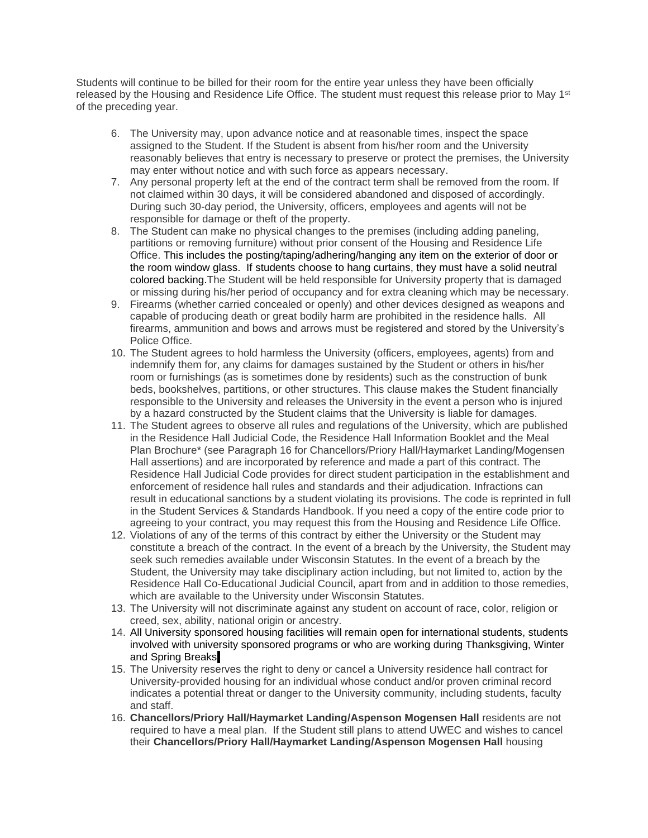Students will continue to be billed for their room for the entire year unless they have been officially released by the Housing and Residence Life Office. The student must request this release prior to May 1<sup>st</sup> of the preceding year.

- 6. The University may, upon advance notice and at reasonable times, inspect the space assigned to the Student. If the Student is absent from his/her room and the University reasonably believes that entry is necessary to preserve or protect the premises, the University may enter without notice and with such force as appears necessary.
- 7. Any personal property left at the end of the contract term shall be removed from the room. If not claimed within 30 days, it will be considered abandoned and disposed of accordingly. During such 30-day period, the University, officers, employees and agents will not be responsible for damage or theft of the property.
- 8. The Student can make no physical changes to the premises (including adding paneling, partitions or removing furniture) without prior consent of the Housing and Residence Life Office. This includes the posting/taping/adhering/hanging any item on the exterior of door or the room window glass. If students choose to hang curtains, they must have a solid neutral colored backing.The Student will be held responsible for University property that is damaged or missing during his/her period of occupancy and for extra cleaning which may be necessary.
- 9. Firearms (whether carried concealed or openly) and other devices designed as weapons and capable of producing death or great bodily harm are prohibited in the residence halls. All firearms, ammunition and bows and arrows must be registered and stored by the University's Police Office.
- 10. The Student agrees to hold harmless the University (officers, employees, agents) from and indemnify them for, any claims for damages sustained by the Student or others in his/her room or furnishings (as is sometimes done by residents) such as the construction of bunk beds, bookshelves, partitions, or other structures. This clause makes the Student financially responsible to the University and releases the University in the event a person who is injured by a hazard constructed by the Student claims that the University is liable for damages.
- 11. The Student agrees to observe all rules and regulations of the University, which are published in the Residence Hall Judicial Code, the Residence Hall Information Booklet and the Meal Plan Brochure\* (see Paragraph 16 for Chancellors/Priory Hall/Haymarket Landing/Mogensen Hall assertions) and are incorporated by reference and made a part of this contract. The Residence Hall Judicial Code provides for direct student participation in the establishment and enforcement of residence hall rules and standards and their adjudication. Infractions can result in educational sanctions by a student violating its provisions. The code is reprinted in full in the Student Services & Standards Handbook. If you need a copy of the entire code prior to agreeing to your contract, you may request this from the Housing and Residence Life Office.
- 12. Violations of any of the terms of this contract by either the University or the Student may constitute a breach of the contract. In the event of a breach by the University, the Student may seek such remedies available under Wisconsin Statutes. In the event of a breach by the Student, the University may take disciplinary action including, but not limited to, action by the Residence Hall Co-Educational Judicial Council, apart from and in addition to those remedies, which are available to the University under Wisconsin Statutes.
- 13. The University will not discriminate against any student on account of race, color, religion or creed, sex, ability, national origin or ancestry.
- 14. All University sponsored housing facilities will remain open for international students, students involved with university sponsored programs or who are working during Thanksgiving, Winter and Spring Breaks.
- 15. The University reserves the right to deny or cancel a University residence hall contract for University-provided housing for an individual whose conduct and/or proven criminal record indicates a potential threat or danger to the University community, including students, faculty and staff.
- 16. **Chancellors/Priory Hall/Haymarket Landing/Aspenson Mogensen Hall** residents are not required to have a meal plan. If the Student still plans to attend UWEC and wishes to cancel their **Chancellors/Priory Hall/Haymarket Landing/Aspenson Mogensen Hall** housing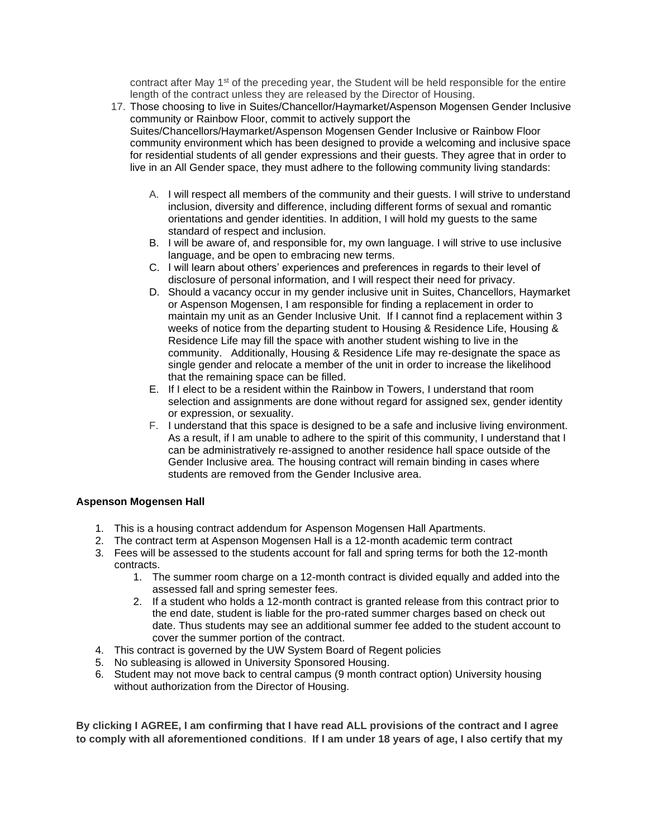contract after May 1<sup>st</sup> of the preceding year, the Student will be held responsible for the entire length of the contract unless they are released by the Director of Housing.

- 17. Those choosing to live in Suites/Chancellor/Haymarket/Aspenson Mogensen Gender Inclusive community or Rainbow Floor, commit to actively support the Suites/Chancellors/Haymarket/Aspenson Mogensen Gender Inclusive or Rainbow Floor community environment which has been designed to provide a welcoming and inclusive space for residential students of all gender expressions and their guests. They agree that in order to live in an All Gender space, they must adhere to the following community living standards:
	- A. I will respect all members of the community and their guests. I will strive to understand inclusion, diversity and difference, including different forms of sexual and romantic orientations and gender identities. In addition, I will hold my guests to the same standard of respect and inclusion.
	- B. I will be aware of, and responsible for, my own language. I will strive to use inclusive language, and be open to embracing new terms.
	- C. I will learn about others' experiences and preferences in regards to their level of disclosure of personal information, and I will respect their need for privacy.
	- D. Should a vacancy occur in my gender inclusive unit in Suites, Chancellors, Haymarket or Aspenson Mogensen, I am responsible for finding a replacement in order to maintain my unit as an Gender Inclusive Unit. If I cannot find a replacement within 3 weeks of notice from the departing student to Housing & Residence Life, Housing & Residence Life may fill the space with another student wishing to live in the community. Additionally, Housing & Residence Life may re-designate the space as single gender and relocate a member of the unit in order to increase the likelihood that the remaining space can be filled.
	- E. If I elect to be a resident within the Rainbow in Towers, I understand that room selection and assignments are done without regard for assigned sex, gender identity or expression, or sexuality.
	- F. I understand that this space is designed to be a safe and inclusive living environment. As a result, if I am unable to adhere to the spirit of this community, I understand that I can be administratively re-assigned to another residence hall space outside of the Gender Inclusive area. The housing contract will remain binding in cases where students are removed from the Gender Inclusive area.

## **Aspenson Mogensen Hall**

- 1. This is a housing contract addendum for Aspenson Mogensen Hall Apartments.
- 2. The contract term at Aspenson Mogensen Hall is a 12-month academic term contract
- 3. Fees will be assessed to the students account for fall and spring terms for both the 12-month contracts.
	- 1. The summer room charge on a 12-month contract is divided equally and added into the assessed fall and spring semester fees.
	- 2. If a student who holds a 12-month contract is granted release from this contract prior to the end date, student is liable for the pro-rated summer charges based on check out date. Thus students may see an additional summer fee added to the student account to cover the summer portion of the contract.
- 4. This contract is governed by the UW System Board of Regent policies
- 5. No subleasing is allowed in University Sponsored Housing.
- 6. Student may not move back to central campus (9 month contract option) University housing without authorization from the Director of Housing.

**By clicking I AGREE, I am confirming that I have read ALL provisions of the contract and I agree to comply with all aforementioned conditions**. **If I am under 18 years of age, I also certify that my**